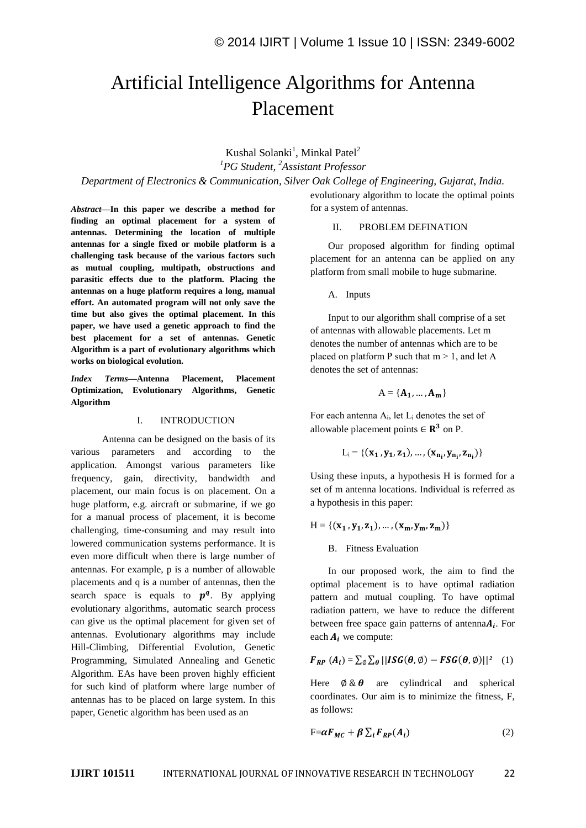# Artificial Intelligence Algorithms for Antenna Placement

Kushal Solanki<sup>1</sup>, Minkal Patel<sup>2</sup> *<sup>1</sup>PG Student, <sup>2</sup>Assistant Professor*

*Department of Electronics & Communication, Silver Oak College of Engineering, Gujarat, India.*

*Abstract***—In this paper we describe a method for finding an optimal placement for a system of antennas. Determining the location of multiple antennas for a single fixed or mobile platform is a challenging task because of the various factors such as mutual coupling, multipath, obstructions and parasitic effects due to the platform. Placing the antennas on a huge platform requires a long, manual effort. An automated program will not only save the time but also gives the optimal placement. In this paper, we have used a genetic approach to find the best placement for a set of antennas. Genetic Algorithm is a part of evolutionary algorithms which works on biological evolution.** 

*Index Terms*—**Antenna Placement, Placement Optimization, Evolutionary Algorithms, Genetic Algorithm**

### I. INTRODUCTION

Antenna can be designed on the basis of its various parameters and according to the application. Amongst various parameters like frequency, gain, directivity, bandwidth and placement, our main focus is on placement. On a huge platform, e.g. aircraft or submarine, if we go for a manual process of placement, it is become challenging, time-consuming and may result into lowered communication systems performance. It is even more difficult when there is large number of antennas. For example, p is a number of allowable placements and q is a number of antennas, then the search space is equals to  $p^q$ . By applying evolutionary algorithms, automatic search process can give us the optimal placement for given set of antennas. Evolutionary algorithms may include Hill-Climbing, Differential Evolution, Genetic Programming, Simulated Annealing and Genetic Algorithm. EAs have been proven highly efficient for such kind of platform where large number of antennas has to be placed on large system. In this paper, Genetic algorithm has been used as an

evolutionary algorithm to locate the optimal points for a system of antennas.

#### II. PROBLEM DEFINATION

Our proposed algorithm for finding optimal placement for an antenna can be applied on any platform from small mobile to huge submarine.

A. Inputs

Input to our algorithm shall comprise of a set of antennas with allowable placements. Let m denotes the number of antennas which are to be placed on platform P such that  $m > 1$ , and let A denotes the set of antennas:

$$
A = \{A_1, \ldots, A_m\}
$$

For each antenna  $A_i$ , let  $L_i$  denotes the set of allowable placement points  $\in \mathbb{R}^3$  on P.

 $L_i = \{(\mathbf{x_1}, \mathbf{y_1}, \mathbf{z_1}), ..., (\mathbf{x_{n_i}}, \mathbf{y_{n_i}}, \mathbf{z_{n_i}})\}\$ 

Using these inputs, a hypothesis H is formed for a set of m antenna locations. Individual is referred as a hypothesis in this paper:

$$
H = \{ (x_1, y_1, z_1), ..., (x_m, y_m, z_m) \}
$$

B. Fitness Evaluation

In our proposed work, the aim to find the optimal placement is to have optimal radiation pattern and mutual coupling. To have optimal radiation pattern, we have to reduce the different between free space gain patterns of antenna $A_i$ . For each  $A_i$  we compute:

$$
F_{RP}(A_i) = \sum_{\emptyset} \sum_{\theta} || \text{ISG}(\theta, \emptyset) - \text{FSG}(\theta, \emptyset) ||^2 \quad (1)
$$

Here  $\emptyset \& \theta$  are cylindrical and spherical coordinates. Our aim is to minimize the fitness, F, as follows:

$$
F = \alpha F_{MC} + \beta \sum_{i} F_{RP}(A_i)
$$
 (2)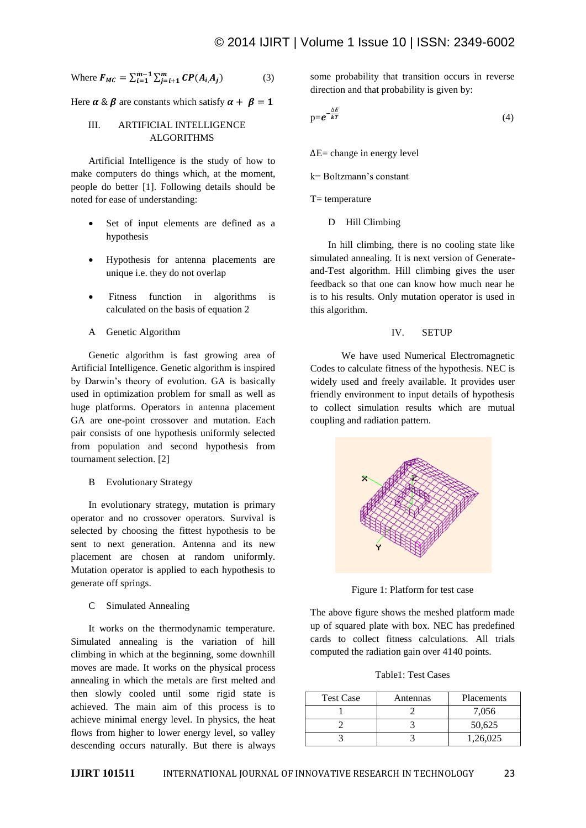Where 
$$
F_{MC} = \sum_{i=1}^{m-1} \sum_{j=i+1}^{m} CP(A_i, A_j)
$$
 (3)

Here  $\alpha \& \beta$  are constants which satisfy  $\alpha + \beta = 1$ 

## III. ARTIFICIAL INTELLIGENCE ALGORITHMS

Artificial Intelligence is the study of how to make computers do things which, at the moment, people do better [1]. Following details should be noted for ease of understanding:

- Set of input elements are defined as a hypothesis
- Hypothesis for antenna placements are unique i.e. they do not overlap
- Fitness function in algorithms is calculated on the basis of equation 2
- A Genetic Algorithm

Genetic algorithm is fast growing area of Artificial Intelligence. Genetic algorithm is inspired by Darwin's theory of evolution. GA is basically used in optimization problem for small as well as huge platforms. Operators in antenna placement GA are one-point crossover and mutation. Each pair consists of one hypothesis uniformly selected from population and second hypothesis from tournament selection. [2]

B Evolutionary Strategy

In evolutionary strategy, mutation is primary operator and no crossover operators. Survival is selected by choosing the fittest hypothesis to be sent to next generation. Antenna and its new placement are chosen at random uniformly. Mutation operator is applied to each hypothesis to generate off springs.

#### C Simulated Annealing

It works on the thermodynamic temperature. Simulated annealing is the variation of hill climbing in which at the beginning, some downhill moves are made. It works on the physical process annealing in which the metals are first melted and then slowly cooled until some rigid state is achieved. The main aim of this process is to achieve minimal energy level. In physics, the heat flows from higher to lower energy level, so valley descending occurs naturally. But there is always some probability that transition occurs in reverse direction and that probability is given by:

$$
p=e^{-\frac{\Delta E}{kT}}\tag{4}
$$

 $\Delta E$  = change in energy level

k= Boltzmann's constant

$$
T = temperature
$$

D Hill Climbing

In hill climbing, there is no cooling state like simulated annealing. It is next version of Generateand-Test algorithm. Hill climbing gives the user feedback so that one can know how much near he is to his results. Only mutation operator is used in this algorithm.

#### IV. SETUP

We have used Numerical Electromagnetic Codes to calculate fitness of the hypothesis. NEC is widely used and freely available. It provides user friendly environment to input details of hypothesis to collect simulation results which are mutual coupling and radiation pattern.



Figure 1: Platform for test case

The above figure shows the meshed platform made up of squared plate with box. NEC has predefined cards to collect fitness calculations. All trials computed the radiation gain over 4140 points.

Table1: Test Cases

| <b>Test Case</b> | Antennas | Placements |
|------------------|----------|------------|
|                  |          | 7,056      |
|                  |          | 50,625     |
|                  |          | 1.26.025   |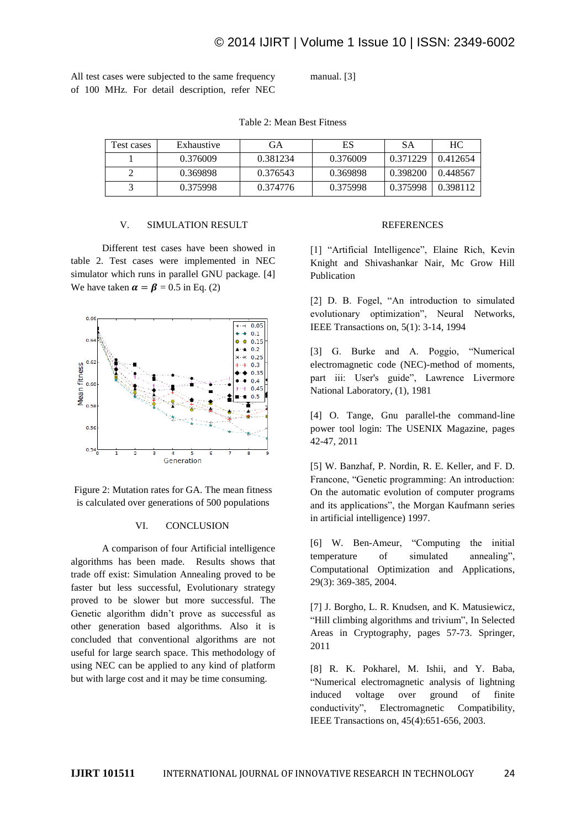All test cases were subjected to the same frequency of 100 MHz. For detail description, refer NEC manual. [3]

| Test cases | Exhaustive | GА       | ES       | SА       | HС       |
|------------|------------|----------|----------|----------|----------|
|            | 0.376009   | 0.381234 | 0.376009 | 0.371229 | 0.412654 |
|            | 0.369898   | 0.376543 | 0.369898 | 0.398200 | 0.448567 |
|            | 0.375998   | 0.374776 | 0.375998 | 0.375998 | 0.398112 |

#### Table 2: Mean Best Fitness

#### V. SIMULATION RESULT

Different test cases have been showed in table 2. Test cases were implemented in NEC simulator which runs in parallel GNU package. [4] We have taken  $\alpha = \beta = 0.5$  in Eq. (2)



Figure 2: Mutation rates for GA. The mean fitness is calculated over generations of 500 populations

#### VI. CONCLUSION

A comparison of four Artificial intelligence algorithms has been made. Results shows that trade off exist: Simulation Annealing proved to be faster but less successful, Evolutionary strategy proved to be slower but more successful. The Genetic algorithm didn't prove as successful as other generation based algorithms. Also it is concluded that conventional algorithms are not useful for large search space. This methodology of using NEC can be applied to any kind of platform but with large cost and it may be time consuming.

## **REFERENCES**

[1] "Artificial Intelligence", Elaine Rich, Kevin Knight and Shivashankar Nair, Mc Grow Hill Publication

[2] D. B. Fogel, "An introduction to simulated evolutionary optimization", Neural Networks, IEEE Transactions on, 5(1): 3-14, 1994

[3] G. Burke and A. Poggio, "Numerical electromagnetic code (NEC)-method of moments, part iii: User's guide", Lawrence Livermore National Laboratory, (1), 1981

[4] O. Tange, Gnu parallel-the command-line power tool login: The USENIX Magazine, pages 42-47, 2011

[5] W. Banzhaf, P. Nordin, R. E. Keller, and F. D. Francone, "Genetic programming: An introduction: On the automatic evolution of computer programs and its applications", the Morgan Kaufmann series in artificial intelligence) 1997.

[6] W. Ben-Ameur, "Computing the initial temperature of simulated annealing", Computational Optimization and Applications, 29(3): 369-385, 2004.

[7] J. Borgho, L. R. Knudsen, and K. Matusiewicz, "Hill climbing algorithms and trivium", In Selected Areas in Cryptography, pages 57-73. Springer, 2011

[8] R. K. Pokharel, M. Ishii, and Y. Baba, "Numerical electromagnetic analysis of lightning induced voltage over ground of finite conductivity", Electromagnetic Compatibility, IEEE Transactions on, 45(4):651-656, 2003.